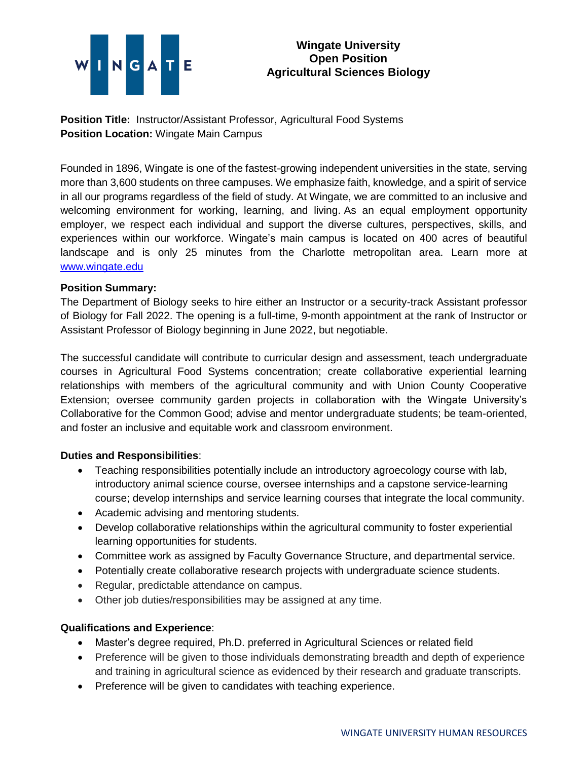# NGATE

# **Wingate University Open Position Agricultural Sciences Biology**

**Position Title:** Instructor/Assistant Professor, Agricultural Food Systems **Position Location:** Wingate Main Campus

Founded in 1896, Wingate is one of the fastest-growing independent universities in the state, serving more than 3,600 students on three campuses. We emphasize faith, knowledge, and a spirit of service in all our programs regardless of the field of study. At Wingate, we are committed to an inclusive and welcoming environment for working, learning, and living. As an equal employment opportunity employer, we respect each individual and support the diverse cultures, perspectives, skills, and experiences within our workforce. Wingate's main campus is located on 400 acres of beautiful landscape and is only 25 minutes from the Charlotte metropolitan area. Learn more at [www.wingate.edu](http://www.wingate/edu)

### **Position Summary:**

The Department of Biology seeks to hire either an Instructor or a security-track Assistant professor of Biology for Fall 2022. The opening is a full-time, 9-month appointment at the rank of Instructor or Assistant Professor of Biology beginning in June 2022, but negotiable.

The successful candidate will contribute to curricular design and assessment, teach undergraduate courses in Agricultural Food Systems concentration; create collaborative experiential learning relationships with members of the agricultural community and with Union County Cooperative Extension; oversee community garden projects in collaboration with the Wingate University's Collaborative for the Common Good; advise and mentor undergraduate students; be team-oriented, and foster an inclusive and equitable work and classroom environment.

## **Duties and Responsibilities**:

- Teaching responsibilities potentially include an introductory agroecology course with lab, introductory animal science course, oversee internships and a capstone service-learning course; develop internships and service learning courses that integrate the local community.
- Academic advising and mentoring students.
- Develop collaborative relationships within the agricultural community to foster experiential learning opportunities for students.
- Committee work as assigned by Faculty Governance Structure, and departmental service.
- Potentially create collaborative research projects with undergraduate science students.
- Regular, predictable attendance on campus.
- Other job duties/responsibilities may be assigned at any time.

## **Qualifications and Experience**:

- Master's degree required, Ph.D. preferred in Agricultural Sciences or related field
- Preference will be given to those individuals demonstrating breadth and depth of experience and training in agricultural science as evidenced by their research and graduate transcripts.
- Preference will be given to candidates with teaching experience.